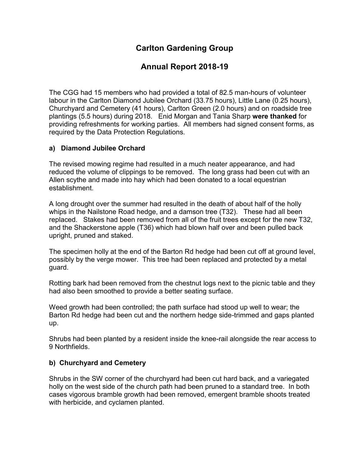# **Carlton Gardening Group**

# **Annual Report 2018-19**

The CGG had 15 members who had provided a total of 82.5 man-hours of volunteer labour in the Carlton Diamond Jubilee Orchard (33.75 hours), Little Lane (0.25 hours), Churchyard and Cemetery (41 hours), Carlton Green (2.0 hours) and on roadside tree plantings (5.5 hours) during 2018. Enid Morgan and Tania Sharp **were thanked** for providing refreshments for working parties. All members had signed consent forms, as required by the Data Protection Regulations.

#### **a) Diamond Jubilee Orchard**

The revised mowing regime had resulted in a much neater appearance, and had reduced the volume of clippings to be removed. The long grass had been cut with an Allen scythe and made into hay which had been donated to a local equestrian establishment.

A long drought over the summer had resulted in the death of about half of the holly whips in the Nailstone Road hedge, and a damson tree (T32). These had all been replaced. Stakes had been removed from all of the fruit trees except for the new T32, and the Shackerstone apple (T36) which had blown half over and been pulled back upright, pruned and staked.

The specimen holly at the end of the Barton Rd hedge had been cut off at ground level, possibly by the verge mower. This tree had been replaced and protected by a metal guard.

Rotting bark had been removed from the chestnut logs next to the picnic table and they had also been smoothed to provide a better seating surface.

Weed growth had been controlled; the path surface had stood up well to wear; the Barton Rd hedge had been cut and the northern hedge side-trimmed and gaps planted up.

Shrubs had been planted by a resident inside the knee-rail alongside the rear access to 9 Northfields.

#### **b) Churchyard and Cemetery**

Shrubs in the SW corner of the churchyard had been cut hard back, and a variegated holly on the west side of the church path had been pruned to a standard tree. In both cases vigorous bramble growth had been removed, emergent bramble shoots treated with herbicide, and cyclamen planted.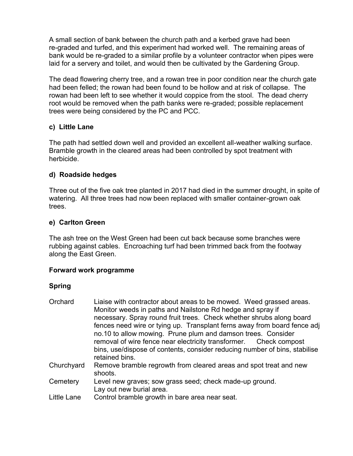A small section of bank between the church path and a kerbed grave had been re-graded and turfed, and this experiment had worked well. The remaining areas of bank would be re-graded to a similar profile by a volunteer contractor when pipes were laid for a servery and toilet, and would then be cultivated by the Gardening Group.

The dead flowering cherry tree, and a rowan tree in poor condition near the church gate had been felled; the rowan had been found to be hollow and at risk of collapse. The rowan had been left to see whether it would coppice from the stool. The dead cherry root would be removed when the path banks were re-graded; possible replacement trees were being considered by the PC and PCC.

#### **c) Little Lane**

The path had settled down well and provided an excellent all-weather walking surface. Bramble growth in the cleared areas had been controlled by spot treatment with herbicide.

## **d) Roadside hedges**

Three out of the five oak tree planted in 2017 had died in the summer drought, in spite of watering. All three trees had now been replaced with smaller container-grown oak trees.

## **e) Carlton Green**

The ash tree on the West Green had been cut back because some branches were rubbing against cables. Encroaching turf had been trimmed back from the footway along the East Green.

## **Forward work programme**

## **Spring**

| Orchard     | Liaise with contractor about areas to be mowed. Weed grassed areas.<br>Monitor weeds in paths and Nailstone Rd hedge and spray if<br>necessary. Spray round fruit trees. Check whether shrubs along board |
|-------------|-----------------------------------------------------------------------------------------------------------------------------------------------------------------------------------------------------------|
|             | fences need wire or tying up. Transplant ferns away from board fence adj                                                                                                                                  |
|             | no.10 to allow mowing. Prune plum and damson trees. Consider                                                                                                                                              |
|             | removal of wire fence near electricity transformer. Check compost                                                                                                                                         |
|             | bins, use/dispose of contents, consider reducing number of bins, stabilise<br>retained bins.                                                                                                              |
| Churchyard  | Remove bramble regrowth from cleared areas and spot treat and new<br>shoots.                                                                                                                              |
| Cemetery    | Level new graves; sow grass seed; check made-up ground.<br>Lay out new burial area.                                                                                                                       |
| Little Lane | Control bramble growth in bare area near seat.                                                                                                                                                            |